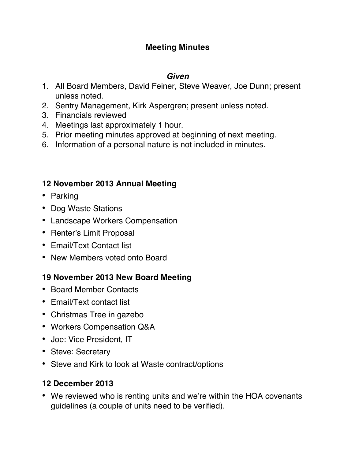### **Meeting Minutes**

#### *Given*

- 1. All Board Members, David Feiner, Steve Weaver, Joe Dunn; present unless noted.
- 2. Sentry Management, Kirk Aspergren; present unless noted.
- 3. Financials reviewed
- 4. Meetings last approximately 1 hour.
- 5. Prior meeting minutes approved at beginning of next meeting.
- 6. Information of a personal nature is not included in minutes.

### **12 November 2013 Annual Meeting**

- Parking
- Dog Waste Stations
- Landscape Workers Compensation
- Renter's Limit Proposal
- Email/Text Contact list
- New Members voted onto Board

## **19 November 2013 New Board Meeting**

- Board Member Contacts
- Email/Text contact list
- Christmas Tree in gazebo
- Workers Compensation Q&A
- Joe: Vice President, IT
- Steve: Secretary
- Steve and Kirk to look at Waste contract/options

#### **12 December 2013**

• We reviewed who is renting units and we're within the HOA covenants guidelines (a couple of units need to be verified).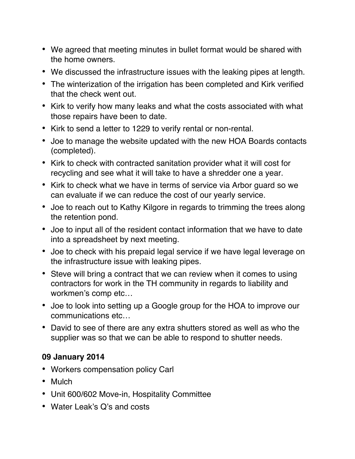- We agreed that meeting minutes in bullet format would be shared with the home owners.
- We discussed the infrastructure issues with the leaking pipes at length.
- The winterization of the irrigation has been completed and Kirk verified that the check went out.
- Kirk to verify how many leaks and what the costs associated with what those repairs have been to date.
- Kirk to send a letter to 1229 to verify rental or non-rental.
- Joe to manage the website updated with the new HOA Boards contacts (completed).
- Kirk to check with contracted sanitation provider what it will cost for recycling and see what it will take to have a shredder one a year.
- Kirk to check what we have in terms of service via Arbor guard so we can evaluate if we can reduce the cost of our yearly service.
- Joe to reach out to Kathy Kilgore in regards to trimming the trees along the retention pond.
- Joe to input all of the resident contact information that we have to date into a spreadsheet by next meeting.
- Joe to check with his prepaid legal service if we have legal leverage on the infrastructure issue with leaking pipes.
- Steve will bring a contract that we can review when it comes to using contractors for work in the TH community in regards to liability and workmen's comp etc…
- Joe to look into setting up a Google group for the HOA to improve our communications etc…
- David to see of there are any extra shutters stored as well as who the supplier was so that we can be able to respond to shutter needs.

#### **09 January 2014**

- Workers compensation policy Carl
- Mulch
- Unit 600/602 Move-in, Hospitality Committee
- Water Leak's Q's and costs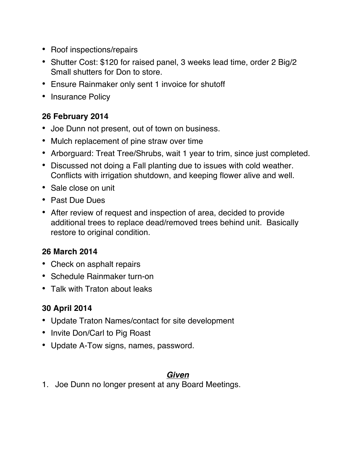- Roof inspections/repairs
- Shutter Cost: \$120 for raised panel, 3 weeks lead time, order 2 Big/2 Small shutters for Don to store.
- Ensure Rainmaker only sent 1 invoice for shutoff
- Insurance Policy

## **26 February 2014**

- Joe Dunn not present, out of town on business.
- Mulch replacement of pine straw over time
- Arborguard: Treat Tree/Shrubs, wait 1 year to trim, since just completed.
- Discussed not doing a Fall planting due to issues with cold weather. Conflicts with irrigation shutdown, and keeping flower alive and well.
- Sale close on unit
- Past Due Dues
- After review of request and inspection of area, decided to provide additional trees to replace dead/removed trees behind unit. Basically restore to original condition.

## **26 March 2014**

- Check on asphalt repairs
- Schedule Rainmaker turn-on
- Talk with Traton about leaks

# **30 April 2014**

- Update Traton Names/contact for site development
- Invite Don/Carl to Pig Roast
- Update A-Tow signs, names, password.

#### *Given*

1. Joe Dunn no longer present at any Board Meetings.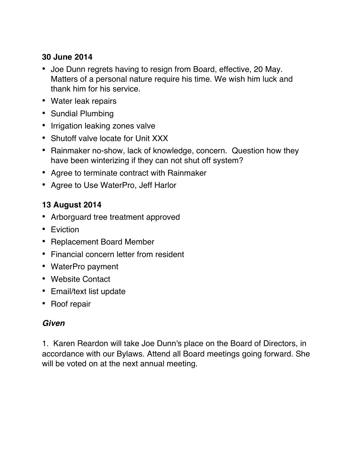### **30 June 2014**

- Joe Dunn regrets having to resign from Board, effective, 20 May. Matters of a personal nature require his time. We wish him luck and thank him for his service.
- Water leak repairs
- Sundial Plumbing
- Irrigation leaking zones valve
- Shutoff valve locate for Unit XXX
- Rainmaker no-show, lack of knowledge, concern. Question how they have been winterizing if they can not shut off system?
- Agree to terminate contract with Rainmaker
- Agree to Use WaterPro, Jeff Harlor

## **13 August 2014**

- Arborguard tree treatment approved
- Eviction
- Replacement Board Member
- Financial concern letter from resident
- WaterPro payment
- Website Contact
- Email/text list update
- Roof repair

## *Given*

1. Karen Reardon will take Joe Dunn's place on the Board of Directors, in accordance with our Bylaws. Attend all Board meetings going forward. She will be voted on at the next annual meeting.